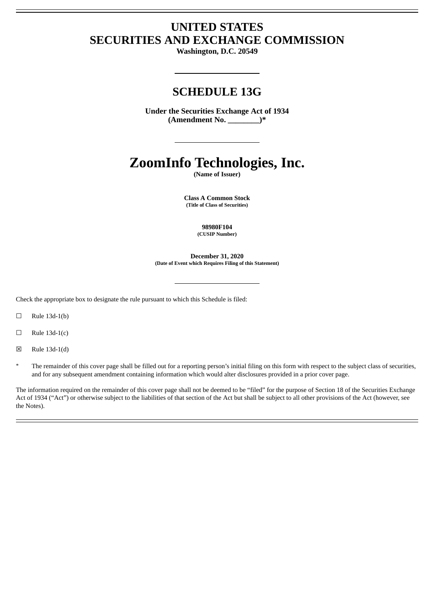# **UNITED STATES SECURITIES AND EXCHANGE COMMISSION**

**Washington, D.C. 20549**

## **SCHEDULE 13G**

**Under the Securities Exchange Act of 1934 (Amendment No. \_\_\_\_\_\_\_\_)\***

# **ZoomInfo Technologies, Inc.**

**(Name of Issuer)**

**Class A Common Stock (Title of Class of Securities)**

> **98980F104 (CUSIP Number)**

**December 31, 2020 (Date of Event which Requires Filing of this Statement)**

Check the appropriate box to designate the rule pursuant to which this Schedule is filed:

 $\Box$  Rule 13d-1(b)

- $\Box$  Rule 13d-1(c)
- $\boxtimes$  Rule 13d-1(d)
- The remainder of this cover page shall be filled out for a reporting person's initial filing on this form with respect to the subject class of securities, and for any subsequent amendment containing information which would alter disclosures provided in a prior cover page.

The information required on the remainder of this cover page shall not be deemed to be "filed" for the purpose of Section 18 of the Securities Exchange Act of 1934 ("Act") or otherwise subject to the liabilities of that section of the Act but shall be subject to all other provisions of the Act (however, see the Notes).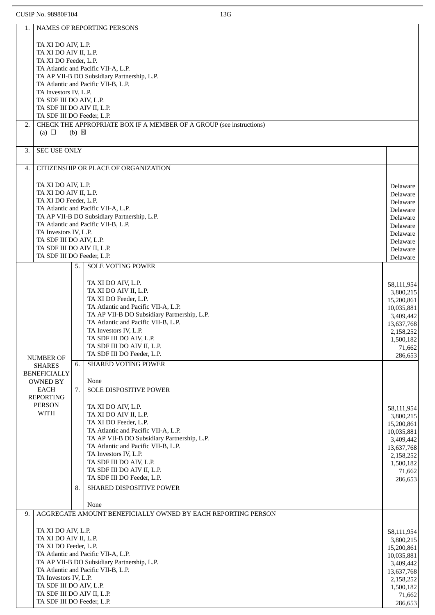| 1.                         |                                                              |                                             | <b>NAMES OF REPORTING PERSONS</b>                                                  |                         |  |  |  |
|----------------------------|--------------------------------------------------------------|---------------------------------------------|------------------------------------------------------------------------------------|-------------------------|--|--|--|
|                            |                                                              |                                             |                                                                                    |                         |  |  |  |
|                            | TA XI DO AIV, L.P.                                           |                                             |                                                                                    |                         |  |  |  |
|                            | TA XI DO AIV II, L.P.<br>TA XI DO Feeder, L.P.               |                                             |                                                                                    |                         |  |  |  |
|                            | TA Atlantic and Pacific VII-A, L.P.                          |                                             |                                                                                    |                         |  |  |  |
|                            | TA AP VII-B DO Subsidiary Partnership, L.P.                  |                                             |                                                                                    |                         |  |  |  |
|                            | TA Atlantic and Pacific VII-B, L.P.                          |                                             |                                                                                    |                         |  |  |  |
|                            | TA Investors IV, L.P.<br>TA SDF III DO AIV, L.P.             |                                             |                                                                                    |                         |  |  |  |
|                            | TA SDF III DO AIV II, L.P.                                   |                                             |                                                                                    |                         |  |  |  |
|                            | TA SDF III DO Feeder, L.P.                                   |                                             |                                                                                    |                         |  |  |  |
| 2.                         |                                                              |                                             | CHECK THE APPROPRIATE BOX IF A MEMBER OF A GROUP (see instructions)                |                         |  |  |  |
|                            | (a) $\Box$                                                   | $(b) \boxtimes$                             |                                                                                    |                         |  |  |  |
|                            |                                                              |                                             |                                                                                    |                         |  |  |  |
| 3.                         | <b>SEC USE ONLY</b>                                          |                                             |                                                                                    |                         |  |  |  |
| 4.                         |                                                              |                                             | CITIZENSHIP OR PLACE OF ORGANIZATION                                               |                         |  |  |  |
|                            |                                                              |                                             |                                                                                    |                         |  |  |  |
|                            | TA XI DO AIV, L.P.                                           |                                             |                                                                                    | Delaware                |  |  |  |
|                            | TA XI DO AIV II, L.P.                                        |                                             |                                                                                    | Delaware                |  |  |  |
|                            | TA XI DO Feeder, L.P.                                        |                                             |                                                                                    | Delaware                |  |  |  |
|                            |                                                              |                                             | TA Atlantic and Pacific VII-A, L.P.<br>TA AP VII-B DO Subsidiary Partnership, L.P. | Delaware                |  |  |  |
|                            |                                                              |                                             | TA Atlantic and Pacific VII-B, L.P.                                                | Delaware<br>Delaware    |  |  |  |
|                            | TA Investors IV, L.P.                                        |                                             |                                                                                    | Delaware                |  |  |  |
|                            | TA SDF III DO AIV, L.P.                                      |                                             |                                                                                    | Delaware                |  |  |  |
|                            | TA SDF III DO AIV II, L.P.                                   |                                             |                                                                                    | Delaware                |  |  |  |
|                            | TA SDF III DO Feeder, L.P.                                   |                                             |                                                                                    | Delaware                |  |  |  |
|                            |                                                              | 5.                                          | <b>SOLE VOTING POWER</b>                                                           |                         |  |  |  |
|                            |                                                              |                                             |                                                                                    |                         |  |  |  |
|                            |                                                              |                                             | TA XI DO AIV, L.P.<br>TA XI DO AIV II, L.P.                                        | 58,111,954              |  |  |  |
|                            |                                                              |                                             | TA XI DO Feeder, L.P.                                                              | 3,800,215<br>15,200,861 |  |  |  |
|                            |                                                              |                                             | TA Atlantic and Pacific VII-A, L.P.                                                | 10,035,881              |  |  |  |
|                            |                                                              |                                             | TA AP VII-B DO Subsidiary Partnership, L.P.                                        | 3,409,442               |  |  |  |
|                            |                                                              |                                             | TA Atlantic and Pacific VII-B, L.P.                                                | 13,637,768              |  |  |  |
|                            |                                                              |                                             | TA Investors IV, L.P.                                                              | 2,158,252               |  |  |  |
|                            |                                                              |                                             | TA SDF III DO AIV, L.P.                                                            | 1,500,182               |  |  |  |
|                            |                                                              |                                             | TA SDF III DO AIV II, L.P.<br>TA SDF III DO Feeder, L.P.                           | 71,662                  |  |  |  |
|                            | NUMBER OF                                                    | 6.                                          | <b>SHARED VOTING POWER</b>                                                         | 286,653                 |  |  |  |
|                            | <b>SHARES</b><br><b>BENEFICIALLY</b>                         |                                             |                                                                                    |                         |  |  |  |
|                            | <b>OWNED BY</b>                                              |                                             | None                                                                               |                         |  |  |  |
|                            | <b>EACH</b>                                                  | 7.                                          | SOLE DISPOSITIVE POWER                                                             |                         |  |  |  |
|                            | <b>REPORTING</b>                                             |                                             |                                                                                    |                         |  |  |  |
|                            | <b>PERSON</b>                                                |                                             | TA XI DO AIV, L.P.                                                                 | 58,111,954              |  |  |  |
|                            | <b>WITH</b>                                                  |                                             | TA XI DO AIV II, L.P.                                                              | 3,800,215               |  |  |  |
|                            |                                                              |                                             | TA XI DO Feeder, L.P.                                                              | 15,200,861              |  |  |  |
|                            |                                                              |                                             | TA Atlantic and Pacific VII-A, L.P.<br>TA AP VII-B DO Subsidiary Partnership, L.P. | 10,035,881              |  |  |  |
|                            |                                                              |                                             | TA Atlantic and Pacific VII-B, L.P.                                                | 3,409,442               |  |  |  |
|                            |                                                              |                                             | TA Investors IV, L.P.                                                              | 13,637,768<br>2,158,252 |  |  |  |
|                            |                                                              |                                             | TA SDF III DO AIV, L.P.                                                            | 1,500,182               |  |  |  |
|                            |                                                              |                                             | TA SDF III DO AIV II, L.P.                                                         | 71,662                  |  |  |  |
|                            |                                                              |                                             | TA SDF III DO Feeder, L.P.                                                         | 286,653                 |  |  |  |
|                            |                                                              | 8.                                          | SHARED DISPOSITIVE POWER                                                           |                         |  |  |  |
|                            |                                                              |                                             |                                                                                    |                         |  |  |  |
| 9.                         |                                                              |                                             | None<br>AGGREGATE AMOUNT BENEFICIALLY OWNED BY EACH REPORTING PERSON               |                         |  |  |  |
|                            |                                                              |                                             |                                                                                    |                         |  |  |  |
|                            | TA XI DO AIV, L.P.                                           |                                             |                                                                                    | 58,111,954              |  |  |  |
|                            | TA XI DO AIV II, L.P.                                        |                                             | 3,800,215                                                                          |                         |  |  |  |
|                            | TA XI DO Feeder, L.P.                                        | 15,200,861                                  |                                                                                    |                         |  |  |  |
|                            |                                                              |                                             | TA Atlantic and Pacific VII-A, L.P.                                                | 10,035,881              |  |  |  |
|                            |                                                              | TA AP VII-B DO Subsidiary Partnership, L.P. | 3,409,442                                                                          |                         |  |  |  |
|                            | TA Atlantic and Pacific VII-B, L.P.<br>TA Investors IV, L.P. | 13,637,768                                  |                                                                                    |                         |  |  |  |
|                            | TA SDF III DO AIV, L.P.                                      | 2,158,252<br>1,500,182                      |                                                                                    |                         |  |  |  |
| TA SDF III DO AIV II, L.P. |                                                              |                                             |                                                                                    |                         |  |  |  |
|                            | TA SDF III DO Feeder, L.P.                                   |                                             |                                                                                    |                         |  |  |  |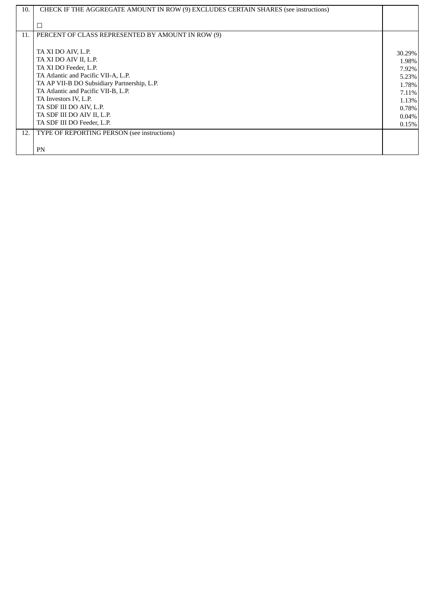| 10. | CHECK IF THE AGGREGATE AMOUNT IN ROW (9) EXCLUDES CERTAIN SHARES (see instructions) |          |  |
|-----|-------------------------------------------------------------------------------------|----------|--|
|     |                                                                                     |          |  |
|     | □                                                                                   |          |  |
| 11. | PERCENT OF CLASS REPRESENTED BY AMOUNT IN ROW (9)                                   |          |  |
|     |                                                                                     |          |  |
|     | TA XI DO AIV, L.P.                                                                  | 30.29%   |  |
|     | TA XI DO AIV II, L.P.                                                               | 1.98%    |  |
|     | TA XI DO Feeder, L.P.                                                               | 7.92%    |  |
|     | TA Atlantic and Pacific VII-A, L.P.                                                 | 5.23%    |  |
|     | TA AP VII-B DO Subsidiary Partnership, L.P.                                         | 1.78%    |  |
|     | TA Atlantic and Pacific VII-B, L.P.                                                 | 7.11%    |  |
|     | TA Investors IV, L.P.                                                               | 1.13%    |  |
|     | TA SDF III DO AIV, L.P.                                                             | $0.78\%$ |  |
|     | TA SDF III DO AIV II, L.P.                                                          | $0.04\%$ |  |
|     | TA SDF III DO Feeder, L.P.                                                          | 0.15%    |  |
| 12. | TYPE OF REPORTING PERSON (see instructions)                                         |          |  |
|     |                                                                                     |          |  |
|     | PN                                                                                  |          |  |
|     |                                                                                     |          |  |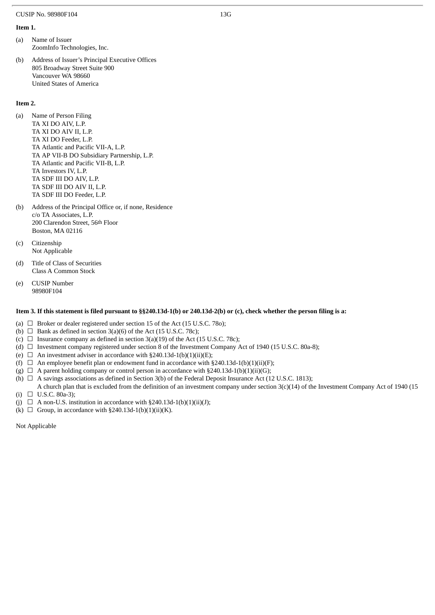### **Item 1.**

- (a) Name of Issuer ZoomInfo Technologies, Inc.
- (b) Address of Issuer's Principal Executive Offices 805 Broadway Street Suite 900 Vancouver WA 98660 United States of America

### **Item 2.**

- (a) Name of Person Filing TA XI DO AIV, L.P. TA XI DO AIV II, L.P. TA XI DO Feeder, L.P. TA Atlantic and Pacific VII-A, L.P. TA AP VII-B DO Subsidiary Partnership, L.P. TA Atlantic and Pacific VII-B, L.P. TA Investors IV, L.P. TA SDF III DO AIV, L.P. TA SDF III DO AIV II, L.P. TA SDF III DO Feeder, L.P.
- (b) Address of the Principal Office or, if none, Residence c/o TA Associates, L.P. 200 Clarendon Street, 56th Floor Boston, MA 02116
- (c) Citizenship Not Applicable
- (d) Title of Class of Securities Class A Common Stock
- (e) CUSIP Number 98980F104

### Item 3. If this statement is filed pursuant to §§240.13d-1(b) or 240.13d-2(b) or (c), check whether the person filing is a:

- (a)  $\Box$  Broker or dealer registered under section 15 of the Act (15 U.S.C. 780);
- (b)  $\Box$  Bank as defined in section 3(a)(6) of the Act (15 U.S.C. 78c);
- (c)  $\Box$  Insurance company as defined in section 3(a)(19) of the Act (15 U.S.C. 78c);
- (d)  $\Box$  Investment company registered under section 8 of the Investment Company Act of 1940 (15 U.S.C. 80a-8);
- (e)  $\Box$  An investment adviser in accordance with §240.13d-1(b)(1)(ii)(E);
- (f)  $\Box$  An employee benefit plan or endowment fund in accordance with §240.13d-1(b)(1)(ii)(F);
- (g)  $\Box$  A parent holding company or control person in accordance with §240.13d-1(b)(1)(ii)(G);
- (h)  $\Box$  A savings associations as defined in Section 3(b) of the Federal Deposit Insurance Act (12 U.S.C. 1813);
- (i) □ U.S.C. 80a-3); A church plan that is excluded from the definition of an investment company under section 3(c)(14) of the Investment Company Act of 1940 (15
- (j)  $\Box$  A non-U.S. institution in accordance with §240.13d-1(b)(1)(ii)(J);
- (k)  $\Box$  Group, in accordance with §240.13d-1(b)(1)(ii)(K).

Not Applicable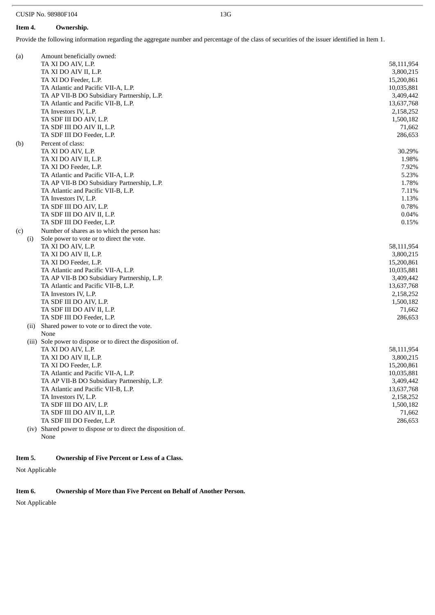### **Item 4. Ownership.**

Provide the following information regarding the aggregate number and percentage of the class of securities of the issuer identified in Item 1.

| (a)  | Amount beneficially owned:                                    |            |
|------|---------------------------------------------------------------|------------|
|      | TA XI DO AIV, L.P.                                            | 58,111,954 |
|      | TA XI DO AIV II, L.P.                                         | 3,800,215  |
|      | TA XI DO Feeder, L.P.                                         | 15,200,861 |
|      | TA Atlantic and Pacific VII-A, L.P.                           | 10,035,881 |
|      | TA AP VII-B DO Subsidiary Partnership, L.P.                   | 3,409,442  |
|      | TA Atlantic and Pacific VII-B, L.P.                           | 13,637,768 |
|      | TA Investors IV, L.P.                                         | 2,158,252  |
|      | TA SDF III DO AIV, L.P.                                       | 1,500,182  |
|      | TA SDF III DO AIV II, L.P.                                    | 71,662     |
|      | TA SDF III DO Feeder, L.P.                                    | 286,653    |
| (b)  | Percent of class:                                             |            |
|      | TA XI DO AIV, L.P.                                            | 30.29%     |
|      | TA XI DO AIV II, L.P.                                         | 1.98%      |
|      | TA XI DO Feeder, L.P.                                         | 7.92%      |
|      | TA Atlantic and Pacific VII-A, L.P.                           | 5.23%      |
|      | TA AP VII-B DO Subsidiary Partnership, L.P.                   | 1.78%      |
|      | TA Atlantic and Pacific VII-B, L.P.                           | 7.11%      |
|      | TA Investors IV, L.P.                                         | 1.13%      |
|      | TA SDF III DO AIV, L.P.                                       | 0.78%      |
|      | TA SDF III DO AIV II, L.P.                                    | 0.04%      |
|      | TA SDF III DO Feeder, L.P.                                    | 0.15%      |
|      | Number of shares as to which the person has:                  |            |
| (c)  | Sole power to vote or to direct the vote.                     |            |
| (i)  | TA XI DO AIV, L.P.                                            |            |
|      |                                                               | 58,111,954 |
|      | TA XI DO AIV II, L.P.<br>TA XI DO Feeder, L.P.                | 3,800,215  |
|      |                                                               | 15,200,861 |
|      | TA Atlantic and Pacific VII-A, L.P.                           | 10,035,881 |
|      | TA AP VII-B DO Subsidiary Partnership, L.P.                   | 3,409,442  |
|      | TA Atlantic and Pacific VII-B, L.P.                           | 13,637,768 |
|      | TA Investors IV, L.P.                                         | 2,158,252  |
|      | TA SDF III DO AIV, L.P.                                       | 1,500,182  |
|      | TA SDF III DO AIV II, L.P.                                    | 71,662     |
|      | TA SDF III DO Feeder, L.P.                                    | 286,653    |
| (ii) | Shared power to vote or to direct the vote.                   |            |
|      | None                                                          |            |
|      | (iii) Sole power to dispose or to direct the disposition of.  |            |
|      | TA XI DO AIV, L.P.                                            | 58,111,954 |
|      | TA XI DO AIV II, L.P.                                         | 3,800,215  |
|      | TA XI DO Feeder, L.P.                                         | 15,200,861 |
|      | TA Atlantic and Pacific VII-A, L.P.                           | 10,035,881 |
|      | TA AP VII-B DO Subsidiary Partnership, L.P.                   | 3,409,442  |
|      | TA Atlantic and Pacific VII-B, L.P.                           | 13,637,768 |
|      | TA Investors IV, L.P.                                         | 2,158,252  |
|      | TA SDF III DO AIV, L.P.                                       | 1,500,182  |
|      | TA SDF III DO AIV II, L.P.                                    | 71,662     |
|      | TA SDF III DO Feeder, L.P.                                    | 286,653    |
|      | (iv) Shared power to dispose or to direct the disposition of. |            |
|      | None                                                          |            |

### **Item 5. Ownership of Five Percent or Less of a Class.**

Not Applicable

### **Item 6. Ownership of More than Five Percent on Behalf of Another Person.**

Not Applicable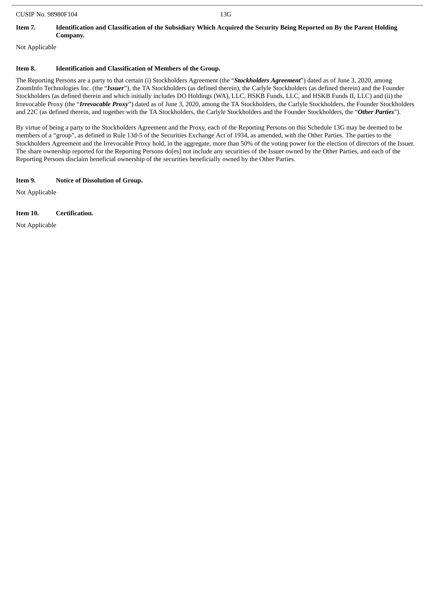### Item 7. Identification and Classification of the Subsidiary Which Acquired the Security Being Reported on By the Parent Holding **Company.**

Not Applicable

### **Item 8. Identification and Classification of Members of the Group.**

The Reporting Persons are a party to that certain (i) Stockholders Agreement (the "*Stockholders Agreement*") dated as of June 3, 2020, among ZoomInfo Technologies Inc. (the "*Issuer*"), the TA Stockholders (as defined therein), the Carlyle Stockholders (as defined therein) and the Founder Stockholders (as defined therein and which initially includes DO Holdings (WA), LLC, HSKB Funds, LLC, and HSKB Funds II, LLC) and (ii) the Irrevocable Proxy (the "*Irrevocable Proxy*") dated as of June 3, 2020, among the TA Stockholders, the Carlyle Stockholders, the Founder Stockholders and 22C (as defined therein, and together with the TA Stockholders, the Carlyle Stockholders and the Founder Stockholders, the "*Other Parties*").

By virtue of being a party to the Stockholders Agreement and the Proxy, each of the Reporting Persons on this Schedule 13G may be deemed to be members of a "group", as defined in Rule 13d-5 of the Securities Exchange Act of 1934, as amended, with the Other Parties. The parties to the Stockholders Agreement and the Irrevocable Proxy hold, in the aggregate, more than 50% of the voting power for the election of directors of the Issuer. The share ownership reported for the Reporting Persons do[es] not include any securities of the Issuer owned by the Other Parties, and each of the Reporting Persons disclaim beneficial ownership of the securities beneficially owned by the Other Parties.

### **Item 9. Notice of Dissolution of Group.**

Not Applicable

### **Item 10. Certification.**

Not Applicable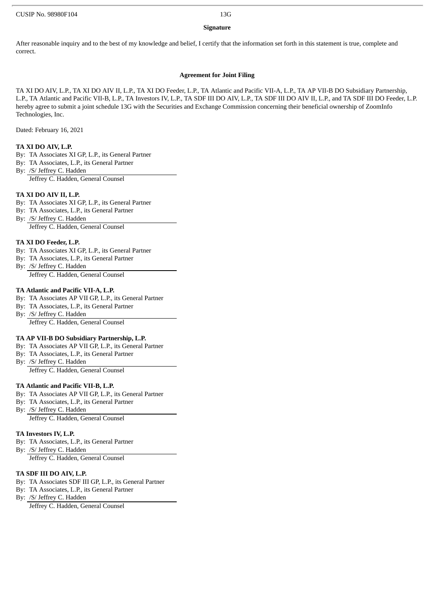### **Signature**

After reasonable inquiry and to the best of my knowledge and belief, I certify that the information set forth in this statement is true, complete and correct.

### **Agreement for Joint Filing**

TA XI DO AIV, L.P., TA XI DO AIV II, L.P., TA XI DO Feeder, L.P., TA Atlantic and Pacific VII-A, L.P., TA AP VII-B DO Subsidiary Partnership, L.P., TA Atlantic and Pacific VII-B, L.P., TA Investors IV, L.P., TA SDF III DO AIV, L.P., TA SDF III DO AIV II, L.P., and TA SDF III DO Feeder, L.P. hereby agree to submit a joint schedule 13G with the Securities and Exchange Commission concerning their beneficial ownership of ZoomInfo Technologies, Inc.

Dated: February 16, 2021

### **TA XI DO AIV, L.P.**

- By: TA Associates XI GP, L.P., its General Partner
- By: TA Associates, L.P., its General Partner
- By: /S/ Jeffrey C. Hadden Jeffrey C. Hadden, General Counsel

### **TA XI DO AIV II, L.P.**

- By: TA Associates XI GP, L.P., its General Partner
- By: TA Associates, L.P., its General Partner
- By: /S/ Jeffrey C. Hadden Jeffrey C. Hadden, General Counsel

### **TA XI DO Feeder, L.P.**

- By: TA Associates XI GP, L.P., its General Partner
- By: TA Associates, L.P., its General Partner
- By: /S/ Jeffrey C. Hadden Jeffrey C. Hadden, General Counsel

### **TA Atlantic and Pacific VII-A, L.P.**

- By: TA Associates AP VII GP, L.P., its General Partner
- By: TA Associates, L.P., its General Partner
- By: /S/ Jeffrey C. Hadden

Jeffrey C. Hadden, General Counsel

### **TA AP VII-B DO Subsidiary Partnership, L.P.**

- By: TA Associates AP VII GP, L.P., its General Partner
- By: TA Associates, L.P., its General Partner
- By: /S/ Jeffrey C. Hadden

Jeffrey C. Hadden, General Counsel

### **TA Atlantic and Pacific VII-B, L.P.**

- By: TA Associates AP VII GP, L.P., its General Partner
- By: TA Associates, L.P., its General Partner
- By: /S/ Jeffrey C. Hadden Jeffrey C. Hadden, General Counsel

### **TA Investors IV, L.P.**

- By: TA Associates, L.P., its General Partner
- By: /S/ Jeffrey C. Hadden
- Jeffrey C. Hadden, General Counsel

### **TA SDF III DO AIV, L.P.**

- By: TA Associates SDF III GP, L.P., its General Partner
- By: TA Associates, L.P., its General Partner
- By: /S/ Jeffrey C. Hadden

Jeffrey C. Hadden, General Counsel